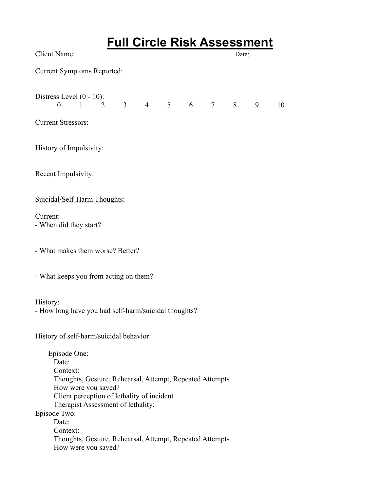| <b>Full Circle Risk Assessment</b>                                                                                                                                                                                                                                                                                               |
|----------------------------------------------------------------------------------------------------------------------------------------------------------------------------------------------------------------------------------------------------------------------------------------------------------------------------------|
| <b>Client Name:</b><br>Date:                                                                                                                                                                                                                                                                                                     |
| <b>Current Symptoms Reported:</b>                                                                                                                                                                                                                                                                                                |
| Distress Level (0 - 10):<br>$1\quad 2\quad 3\quad 4\quad 5\quad 6\quad 7\quad 8$<br>$\theta$<br>9<br>10                                                                                                                                                                                                                          |
| <b>Current Stressors:</b>                                                                                                                                                                                                                                                                                                        |
| History of Impulsivity:                                                                                                                                                                                                                                                                                                          |
| Recent Impulsivity:                                                                                                                                                                                                                                                                                                              |
| Suicidal/Self-Harm Thoughts:                                                                                                                                                                                                                                                                                                     |
| Current:<br>- When did they start?                                                                                                                                                                                                                                                                                               |
| - What makes them worse? Better?                                                                                                                                                                                                                                                                                                 |
| - What keeps you from acting on them?                                                                                                                                                                                                                                                                                            |
| History:<br>- How long have you had self-harm/suicidal thoughts?                                                                                                                                                                                                                                                                 |
| History of self-harm/suicidal behavior:                                                                                                                                                                                                                                                                                          |
| Episode One:<br>Date:<br>Context:<br>Thoughts, Gesture, Rehearsal, Attempt, Repeated Attempts<br>How were you saved?<br>Client perception of lethality of incident<br>Therapist Assessment of lethality:<br>Episode Two:<br>Date:<br>Context:<br>Thoughts, Gesture, Rehearsal, Attempt, Repeated Attempts<br>How were you saved? |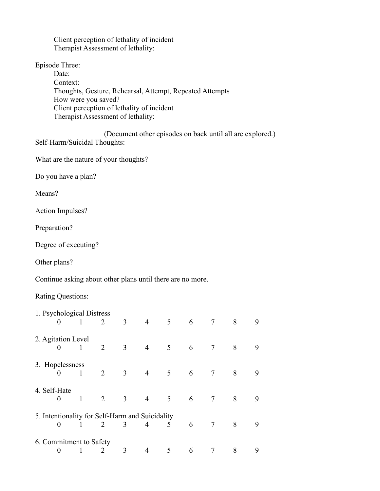Client perception of lethality of incident Therapist Assessment of lethality:

Episode Three:

 Date: Context: Thoughts, Gesture, Rehearsal, Attempt, Repeated Attempts How were you saved? Client perception of lethality of incident Therapist Assessment of lethality:

(Document other episodes on back until all are explored.) Self-Harm/Suicidal Thoughts:

What are the nature of your thoughts?

Do you have a plan?

Means?

Action Impulses?

Preparation?

Degree of executing?

Other plans?

Continue asking about other plans until there are no more.

Rating Questions:

| 1. Psychological Distress                       |              |   |                |                |   |   |                |   |   |
|-------------------------------------------------|--------------|---|----------------|----------------|---|---|----------------|---|---|
| $\theta$                                        | 1            | 2 | 3              | $\overline{4}$ | 5 | 6 | 7              | 8 | 9 |
| 2. Agitation Level                              |              |   |                |                |   |   |                |   |   |
| 0                                               | 1            | 2 | $\overline{3}$ | $\overline{4}$ | 5 | 6 | 7              | 8 | 9 |
| 3. Hopelessness                                 |              |   |                |                |   |   |                |   |   |
| 0                                               | 1            | 2 | $\mathfrak{Z}$ | $\overline{4}$ | 5 | 6 | 7              | 8 | 9 |
| 4. Self-Hate                                    |              |   |                |                |   |   |                |   |   |
| $\theta$                                        | $\mathbf{1}$ | 2 | 3              | $\overline{4}$ | 5 | 6 | $\overline{7}$ | 8 | 9 |
| 5. Intentionality for Self-Harm and Suicidality |              |   |                |                |   |   |                |   |   |
| 0                                               |              | 2 | 3              | 4              | 5 | 6 | 7              | 8 | 9 |
| 6. Commitment to Safety                         |              |   |                |                |   |   |                |   |   |
| 0                                               |              | 2 | 3              | 4              | 5 | 6 |                | 8 | 9 |